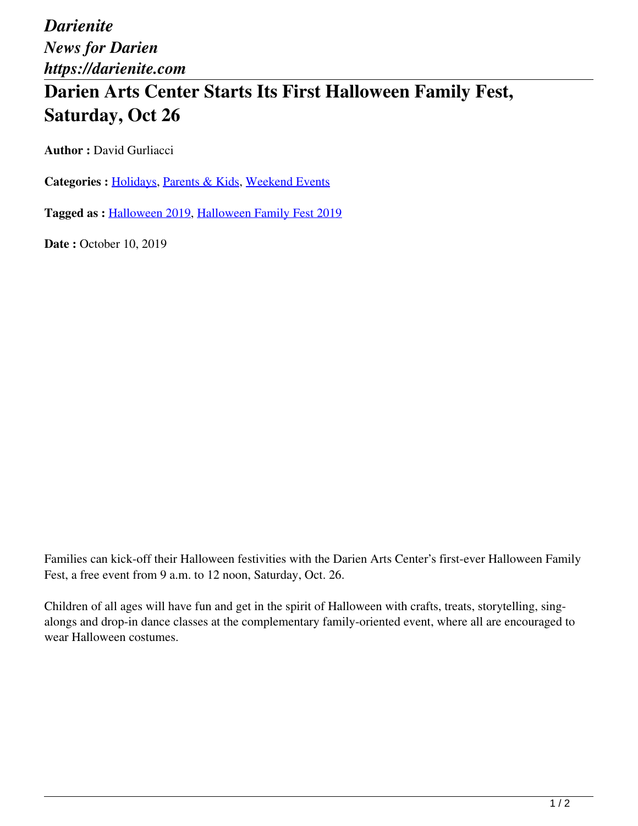*Darienite News for Darien https://darienite.com*

## **Darien Arts Center Starts Its First Halloween Family Fest, Saturday, Oct 26**

**Author : David Gurliacci** 

Categories : [Holidays](https://darienite.com/category/living/holidays), Parents & Kids, Weekend Events

**Tagged as :** Halloween 2019, Halloween Family Fest 2019

**Date : October 10, 2019** 

Families can kick-off their Halloween festivities with the Darien Arts Center's first-ever Halloween Family Fest, a free event from 9 a.m. to 12 noon, Saturday, Oct. 26.

Children of all ages will have fun and get in the spirit of Halloween with crafts, treats, storytelling, singalongs and drop-in dance classes at the complementary family-oriented event, where all are encouraged to wear Halloween costumes.